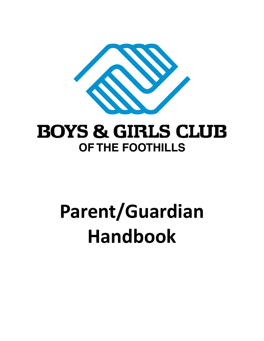

# **BOYS & GIRLS CLUB OF THE FOOTHILLS**

# **Parent/Guardian Handbook**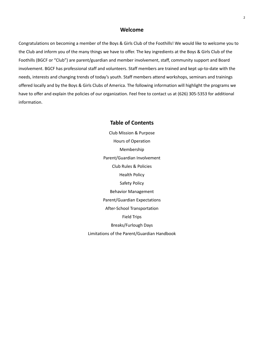#### **Welcome**

Congratulations on becoming a member of the Boys & Girls Club of the Foothills! We would like to welcome you to the Club and inform you of the many things we have to offer. The key ingredients at the Boys & Girls Club of the Foothills (BGCF or "Club") are parent/guardian and member involvement, staff, community support and Board involvement. BGCF has professional staff and volunteers. Staff members are trained and kept up-to-date with the needs, interests and changing trends of today's youth. Staff members attend workshops, seminars and trainings offered locally and by the Boys & Girls Clubs of America. The following information will highlight the programs we have to offer and explain the policies of our organization. Feel free to contact us at (626) 305-5353 for additional information.

# **Table of Contents** Club Mission & Purpose Hours of Operation Membership Parent/Guardian Involvement Club Rules & Policies Health Policy Safety Policy Behavior Management Parent/Guardian Expectations After-School Transportation Field Trips Breaks/Furlough Days

Limitations of the Parent/Guardian Handbook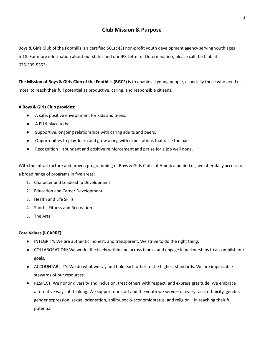# **Club Mission & Purpose**

Boys & Girls Club of the Foothills is a certified 501(c)(3) non-profit youth development agency serving youth ages 5-18. For more information about our status and our IRS Letter of Determination, please call the Club at 626-305-5353.

**The Mission of Boys & Girls Club of the Foothills (BGCF)** is to enable all young people, especially those who need us most, to reach their full potential as productive, caring, and responsible citizens.

#### **A Boys & Girls Club provides:**

- A safe, positive environment for kids and teens.
- A FUN place to be.
- Supportive, ongoing relationships with caring adults and peers.
- Opportunities to play, learn and grow along with expectations that raise the bar.
- Recognition—abundant and positive reinforcement and praise for a job well done.

With the infrastructure and proven programming of Boys & Girls Clubs of America behind us, we offer daily access to a broad range of programs in five areas:

- 1. Character and Leadership Development
- 2. Education and Career Development
- 3. Health and Life Skills
- 4. Sports, Fitness and Recreation
- 5. The Arts

#### **Core Values (I-CARRE):**

- INTEGRITY: We are authentic, honest, and transparent. We strive to do the right thing.
- COLLABORATION: We work effectively within and across teams, and engage in partnerships to accomplish our goals.
- ACCOUNTABILITY: We do what we say and hold each other to the highest standards. We are impeccable stewards of our resources.
- RESPECT: We honor diversity and inclusion, treat others with respect, and express gratitude. We embrace alternative ways of thinking. We support our staff and the youth we serve – of every race, ethnicity, gender, gender expression, sexual orientation, ability, socio-economic status, and religion – in reaching their full potential.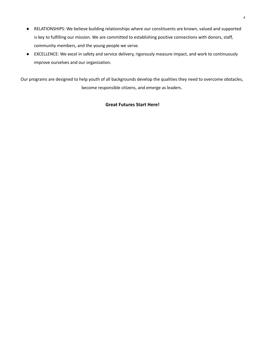- RELATIONSHIPS: We believe building relationships where our constituents are known, valued and supported is key to fulfilling our mission. We are committed to establishing positive connections with donors, staff, community members, and the young people we serve.
- EXCELLENCE: We excel in safety and service delivery, rigorously measure impact, and work to continuously improve ourselves and our organization.

Our programs are designed to help youth of all backgrounds develop the qualities they need to overcome obstacles, become responsible citizens, and emerge as leaders.

# **Great Futures Start Here!**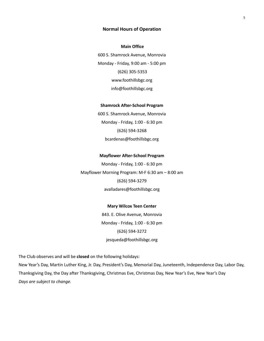#### **Normal Hours of Operation**

#### **Main Office**

600 S. Shamrock Avenue, Monrovia Monday - Friday, 9:00 am - 5:00 pm (626) 305-5353 www.foothillsbgc.org info@foothillsbgc.org

#### **Shamrock After-School Program**

600 S. Shamrock Avenue, Monrovia Monday - Friday, 1:00 - 6:30 pm (626) 594-3268 bcardenas@foothillsbgc.org

#### **Mayflower After-School Program**

Monday - Friday, 1:00 - 6:30 pm Mayflower Morning Program: M-F 6:30 am – 8:00 am (626) 594-3279 avalladares@foothillsbgc.org

#### **Mary Wilcox Teen Center**

843. E. Olive Avenue, Monrovia Monday - Friday, 1:00 - 6:30 pm (626) 594-3272 jesqueda@foothillsbgc.org

The Club observes and will be **closed** on the following holidays:

New Year's Day, Martin Luther King, Jr. Day, President's Day, Memorial Day, Juneteenth, Independence Day, Labor Day, Thanksgiving Day, the Day after Thanksgiving, Christmas Eve, Christmas Day, New Year's Eve, New Year's Day *Days are subject to change.*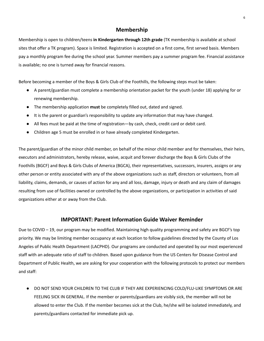# **Membership**

Membership is open to children/teens **in Kindergarten through 12th grade** (TK membership is available at school sites that offer a TK program). Space is limited. Registration is accepted on a first come, first served basis. Members pay a monthly program fee during the school year. Summer members pay a summer program fee. Financial assistance is available; no one is turned away for financial reasons.

Before becoming a member of the Boys & Girls Club of the Foothills, the following steps must be taken:

- A parent/guardian must complete a membership orientation packet for the youth (under 18) applying for or renewing membership.
- The membership application **must** be completely filled out, dated and signed.
- It is the parent or guardian's responsibility to update any information that may have changed.
- All fees must be paid at the time of registration—by cash, check, credit card or debit card.
- Children age 5 must be enrolled in or have already completed Kindergarten.

The parent/guardian of the minor child member, on behalf of the minor child member and for themselves, their heirs, executors and administrators, hereby release, waive, acquit and forever discharge the Boys & Girls Clubs of the Foothills (BGCF) and Boys & Girls Clubs of America (BGCA), their representatives, successors, insurers, assigns or any other person or entity associated with any of the above organizations such as staff, directors or volunteers, from all liability, claims, demands, or causes of action for any and all loss, damage, injury or death and any claim of damages resulting from use of facilities owned or controlled by the above organizations, or participation in activities of said organizations either at or away from the Club.

# **IMPORTANT: Parent Information Guide Waiver Reminder**

Due to COVID – 19, our program may be modified. Maintaining high quality programming and safety are BGCF's top priority. We may be limiting member occupancy at each location to follow guidelines directed by the County of Los Angeles of Public Health Department (LACPHD). Our programs are conducted and operated by our most experienced staff with an adequate ratio of staff to children. Based upon guidance from the US Centers for Disease Control and Department of Public Health, we are asking for your cooperation with the following protocols to protect our members and staff:

● DO NOT SEND YOUR CHILDREN TO THE CLUB IF THEY ARE EXPERIENCING COLD/FLU-LIKE SYMPTOMS OR ARE FEELING SICK IN GENERAL. If the member or parents/guardians are visibly sick, the member will not be allowed to enter the Club. If the member becomes sick at the Club, he/she will be isolated immediately, and parents/guardians contacted for immediate pick up.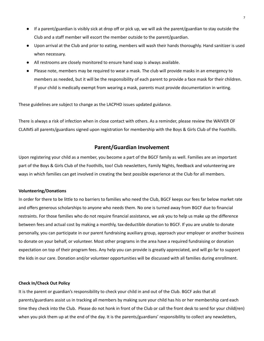- If a parent/guardian is visibly sick at drop off or pick up, we will ask the parent/guardian to stay outside the Club and a staff member will escort the member outside to the parent/guardian.
- Upon arrival at the Club and prior to eating, members will wash their hands thoroughly. Hand sanitizer is used when necessary.
- All restrooms are closely monitored to ensure hand soap is always available.
- Please note, members may be required to wear a mask. The club will provide masks in an emergency to members as needed, but it will be the responsibility of each parent to provide a face mask for their children. If your child is medically exempt from wearing a mask, parents must provide documentation in writing.

These guidelines are subject to change as the LACPHD issues updated guidance.

There is always a risk of infection when in close contact with others. As a reminder, please review the WAIVER OF CLAIMS all parents/guardians signed upon registration for membership with the Boys & Girls Club of the Foothills.

#### **Parent/Guardian Involvement**

Upon registering your child as a member, you become a part of the BGCF family as well. Families are an important part of the Boys & Girls Club of the Foothills, too! Club newsletters, Family Nights, feedback and volunteering are ways in which families can get involved in creating the best possible experience at the Club for all members.

#### **Volunteering/Donations**

In order for there to be little to no barriers to families who need the Club, BGCF keeps our fees far below market rate and offers generous scholarships to anyone who needs them. No one is turned away from BGCF due to financial restraints. For those families who do not require financial assistance, we ask you to help us make up the difference between fees and actual cost by making a monthly, tax-deductible donation to BGCF. If you are unable to donate personally, you can participate in our parent fundraising auxiliary group, approach your employer or another business to donate on your behalf, or volunteer. Most other programs in the area have a required fundraising or donation expectation on top of their program fees. Any help you can provide is greatly appreciated, and will go far to support the kids in our care. Donation and/or volunteer opportunities will be discussed with all families during enrollment.

#### **Check In/Check Out Policy**

It is the parent or guardian's responsibility to check your child in and out of the Club. BGCF asks that all parents/guardians assist us in tracking all members by making sure your child has his or her membership card each time they check into the Club. Please do not honk in front of the Club or call the front desk to send for your child(ren) when you pick them up at the end of the day. It is the parents/guardians' responsibility to collect any newsletters,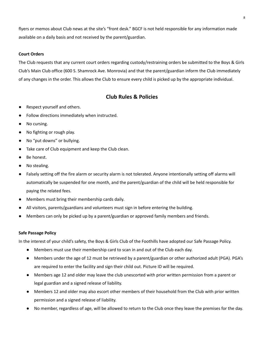flyers or memos about Club news at the site's "front desk." BGCF is not held responsible for any information made available on a daily basis and not received by the parent/guardian.

#### **Court Orders**

The Club requests that any current court orders regarding custody/restraining orders be submitted to the Boys & Girls Club's Main Club office (600 S. Shamrock Ave. Monrovia) and that the parent/guardian inform the Club immediately of any changes in the order. This allows the Club to ensure every child is picked up by the appropriate individual.

# **Club Rules & Policies**

- Respect yourself and others.
- Follow directions immediately when instructed.
- No cursing.
- No fighting or rough play.
- No "put downs" or bullying.
- Take care of Club equipment and keep the Club clean.
- Be honest.
- No stealing.
- Falsely setting off the fire alarm or security alarm is not tolerated. Anyone intentionally setting off alarms will automatically be suspended for one month, and the parent/guardian of the child will be held responsible for paying the related fees.
- Members must bring their membership cards daily.
- All visitors, parents/guardians and volunteers must sign in before entering the building.
- Members can only be picked up by a parent/guardian or approved family members and friends.

#### **Safe Passage Policy**

In the interest of your child's safety, the Boys & Girls Club of the Foothills have adopted our Safe Passage Policy.

- Members must use their membership card to scan in and out of the Club each day.
- Members under the age of 12 must be retrieved by a parent/guardian or other authorized adult (PGA). PGA's are required to enter the facility and sign their child out. Picture ID will be required.
- Members age 12 and older may leave the club unescorted with prior written permission from a parent or legal guardian and a signed release of liability.
- Members 12 and older may also escort other members of their household from the Club with prior written permission and a signed release of liability.
- No member, regardless of age, will be allowed to return to the Club once they leave the premises for the day.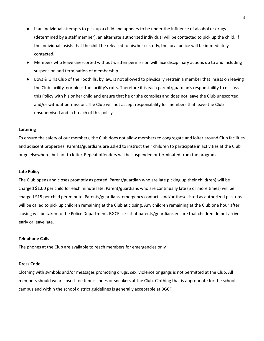- If an individual attempts to pick up a child and appears to be under the influence of alcohol or drugs (determined by a staff member), an alternate authorized individual will be contacted to pick up the child. If the individual insists that the child be released to his/her custody, the local police will be immediately contacted.
- Members who leave unescorted without written permission will face disciplinary actions up to and including suspension and termination of membership.
- Boys & Girls Club of the Foothills, by law, is not allowed to physically restrain a member that insists on leaving the Club facility, nor block the facility's exits. Therefore it is each parent/guardian's responsibility to discuss this Policy with his or her child and ensure that he or she complies and does not leave the Club unescorted and/or without permission. The Club will not accept responsibility for members that leave the Club unsupervised and in breach of this policy.

#### **Loitering**

To ensure the safety of our members, the Club does not allow members to congregate and loiter around Club facilities and adjacent properties. Parents/guardians are asked to instruct their children to participate in activities at the Club or go elsewhere, but not to loiter. Repeat offenders will be suspended or terminated from the program.

#### **Late Policy**

The Club opens and closes promptly as posted. Parent/guardian who are late picking up their child(ren) will be charged \$1.00 per child for each minute late. Parent/guardians who are continually late (5 or more times) will be charged \$15 per child per minute. Parents/guardians, emergency contacts and/or those listed as authorized pick-ups will be called to pick up children remaining at the Club at closing. Any children remaining at the Club one hour after closing will be taken to the Police Department. BGCF asks that parents/guardians ensure that children do not arrive early or leave late.

#### **Telephone Calls**

The phones at the Club are available to reach members for emergencies only.

#### **Dress Code**

Clothing with symbols and/or messages promoting drugs, sex, violence or gangs is not permitted at the Club. All members should wear closed-toe tennis shoes or sneakers at the Club. Clothing that is appropriate for the school campus and within the school district guidelines is generally acceptable at BGCF.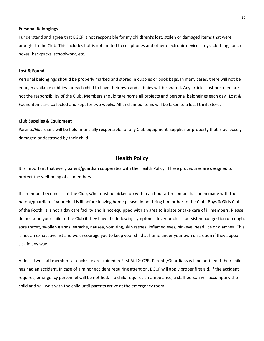#### **Personal Belongings**

I understand and agree that BGCF is not responsible for my child(ren)'s lost, stolen or damaged items that were brought to the Club. This includes but is not limited to cell phones and other electronic devices, toys, clothing, lunch boxes, backpacks, schoolwork, etc.

#### **Lost & Found**

Personal belongings should be properly marked and stored in cubbies or book bags. In many cases, there will not be enough available cubbies for each child to have their own and cubbies will be shared. Any articles lost or stolen are not the responsibility of the Club. Members should take home all projects and personal belongings each day. Lost & Found items are collected and kept for two weeks. All unclaimed items will be taken to a local thrift store.

#### **Club Supplies & Equipment**

Parents/Guardians will be held financially responsible for any Club equipment, supplies or property that is purposely damaged or destroyed by their child.

#### **Health Policy**

It is important that every parent/guardian cooperates with the Health Policy. These procedures are designed to protect the well-being of all members.

If a member becomes ill at the Club, s/he must be picked up within an hour after contact has been made with the parent/guardian. If your child is ill before leaving home please do not bring him or her to the Club. Boys & Girls Club of the Foothills is not a day care facility and is not equipped with an area to isolate or take care of ill members. Please do not send your child to the Club if they have the following symptoms: fever or chills, persistent congestion or cough, sore throat, swollen glands, earache, nausea, vomiting, skin rashes, inflamed eyes, pinkeye, head lice or diarrhea. This is not an exhaustive list and we encourage you to keep your child at home under your own discretion if they appear sick in any way.

At least two staff members at each site are trained in First Aid & CPR. Parents/Guardians will be notified if their child has had an accident. In case of a minor accident requiring attention, BGCF will apply proper first aid. If the accident requires, emergency personnel will be notified. If a child requires an ambulance, a staff person will accompany the child and will wait with the child until parents arrive at the emergency room.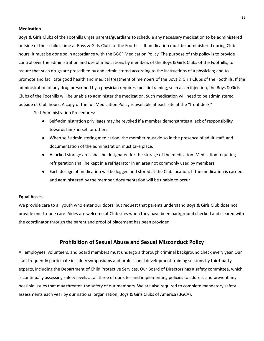#### **Medication**

Boys & Girls Clubs of the Foothills urges parents/guardians to schedule any necessary medication to be administered outside of their child's time at Boys & Girls Clubs of the Foothills. If medication must be administered during Club hours, it must be done so in accordance with the BGCF Medication Policy. The purpose of this policy is to provide control over the administration and use of medications by members of the Boys & Girls Clubs of the Foothills, to assure that such drugs are prescribed by and administered according to the instructions of a physician; and to promote and facilitate good health and medical treatment of members of the Boys & Girls Clubs of the Foothills. If the administration of any drug prescribed by a physician requires specific training, such as an injection, the Boys & Girls Clubs of the Foothills will be unable to administer the medication. Such medication will need to be administered outside of Club hours. A copy of the full Medication Policy is available at each site at the "front desk."

Self-Administration Procedures:

- Self-administration privileges may be revoked if a member demonstrates a lack of responsibility towards him/herself or others.
- When self-administering medication, the member must do so in the presence of adult staff, and documentation of the administration must take place.
- A locked storage area shall be designated for the storage of the medication. Medication requiring refrigeration shall be kept in a refrigerator in an area not commonly used by members.
- Each dosage of medication will be logged and stored at the Club location. If the medication is carried and administered by the member, documentation will be unable to occur.

#### **Equal Access**

We provide care to all youth who enter our doors, but request that parents understand Boys & Girls Club does not provide one-to-one care. Aides are welcome at Club sites when they have been background checked and cleared with the coordinator through the parent and proof of placement has been provided.

# **Prohibition of Sexual Abuse and Sexual Misconduct Policy**

All employees, volunteers, and board members must undergo a thorough criminal background check every year. Our staff frequently participate in safety symposiums and professional development training sessions by third-party experts, including the Department of Child Protective Services. Our Board of Directors has a safety committee, which is continually assessing safety levels at all three of our sites and implementing policies to address and prevent any possible issues that may threaten the safety of our members. We are also required to complete mandatory safety assessments each year by our national organization, Boys & Girls Clubs of America (BGCA).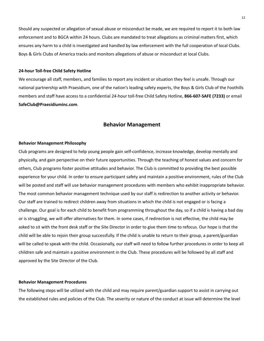Should any suspected or allegation of sexual abuse or misconduct be made, we are required to report it to both law enforcement and to BGCA within 24 hours. Clubs are mandated to treat allegations as criminal matters first, which ensures any harm to a child is investigated and handled by law enforcement with the full cooperation of local Clubs. Boys & Girls Clubs of America tracks and monitors allegations of abuse or misconduct at local Clubs.

#### **24-hour Toll-free Child Safety Hotline**

We encourage all staff, members, and families to report any incident or situation they feel is unsafe. Through our national partnership with Praesidium, one of the nation's leading safety experts, the Boys & Girls Club of the Foothills members and staff have access to a confidential 24-hour toll-free Child Safety Hotline, **866-607-SAFE (7233)** or email **SafeClub@Praesidiuminc.com**.

#### **Behavior Management**

#### **Behavior Management Philosophy**

Club programs are designed to help young people gain self-confidence, increase knowledge, develop mentally and physically, and gain perspective on their future opportunities. Through the teaching of honest values and concern for others, Club programs foster positive attitudes and behavior. The Club is committed to providing the best possible experience for your child. In order to ensure participant safety and maintain a positive environment, rules of the Club will be posted and staff will use behavior management procedures with members who exhibit inappropriate behavior. The most common behavior management technique used by our staff is redirection to another activity or behavior. Our staff are trained to redirect children away from situations in which the child is not engaged or is facing a challenge. Our goal is for each child to benefit from programming throughout the day, so if a child is having a bad day or is struggling, we will offer alternatives for them. In some cases, if redirection is not effective, the child may be asked to sit with the front desk staff or the Site Director in order to give them time to refocus. Our hope is that the child will be able to rejoin their group successfully. If the child is unable to return to their group, a parent/guardian will be called to speak with the child. Occasionally, our staff will need to follow further procedures in order to keep all children safe and maintain a positive environment in the Club. These procedures will be followed by all staff and approved by the Site Director of the Club.

#### **Behavior Management Procedures**

The following steps will be utilized with the child and may require parent/guardian support to assist in carrying out the established rules and policies of the Club. The severity or nature of the conduct at issue will determine the level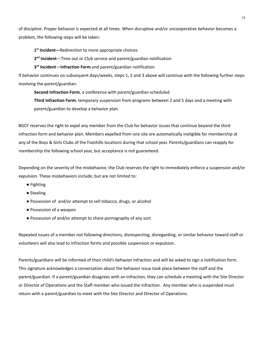of discipline. Proper behavior is expected at all times. When disruptive and/or uncooperative behavior becomes a problem, the following steps will be taken:

**1 st Incident—**Redirection to more appropriate choices

2<sup>nd</sup> Incident-Time out or Club service and parent/guardian notification

**3 rd Incident**—**Infraction Form** and parent/guardian notification

If behavior continues on subsequent days/weeks, steps 1, 2 and 3 above will continue with the following further steps involving the parent/guardian:

**Second Infraction Form**, a conference with parent/guardian scheduled

**Third Infraction Form**, temporary suspension from programs between 2 and 5 days and a meeting with parent/guardian to develop a behavior plan.

BGCF reserves the right to expel any member from the Club for behavior issues that continue beyond the third infraction form and behavior plan. Members expelled from one site are automatically ineligible for membership at any of the Boys & Girls Clubs of the Foothills locations during that school year. Parents/guardians can reapply for membership the following school year, but acceptance is not guaranteed.

Depending on the severity of the misbehavior, the Club reserves the right to immediately enforce a suspension and/or expulsion. These misbehaviors include, but are not limited to:

- Fighting
- Stealing
- Possession of and/or attempt to sell tobacco, drugs, or alcohol
- Possession of a weapon
- Possession of and/or attempt to share pornography of any sort

Repeated issues of a member not following directions, disrespecting, disregarding, or similar behavior toward staff or volunteers will also lead to infraction forms and possible suspension or expulsion.

Parents/guardians will be informed of their child's behavior infraction and will be asked to sign a notification form. This signature acknowledges a conversation about the behavior issue took place between the staff and the parent/guardian. If a parent/guardian disagrees with an infraction, they can schedule a meeting with the Site Director or Director of Operations and the Staff member who issued the infraction. Any member who is suspended must return with a parent/guardian to meet with the Site Director and Director of Operations.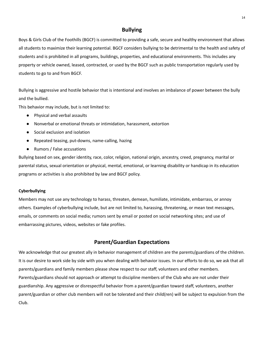# **Bullying**

Boys & Girls Club of the Foothills (BGCF) is committed to providing a safe, secure and healthy environment that allows all students to maximize their learning potential. BGCF considers bullying to be detrimental to the health and safety of students and is prohibited in all programs, buildings, properties, and educational environments. This includes any property or vehicle owned, leased, contracted, or used by the BGCF such as public transportation regularly used by students to go to and from BGCF.

Bullying is aggressive and hostile behavior that is intentional and involves an imbalance of power between the bully and the bullied.

This behavior may include, but is not limited to:

- Physical and verbal assaults
- Nonverbal or emotional threats or intimidation, harassment, extortion
- Social exclusion and isolation
- Repeated teasing, put-downs, name-calling, hazing
- Rumors / False accusations

Bullying based on sex, gender identity, race, color, religion, national origin, ancestry, creed, pregnancy, marital or parental status, sexual orientation or physical, mental, emotional, or learning disability or handicap in its education programs or activities is also prohibited by law and BGCF policy.

#### **Cyberbullying**

Members may not use any technology to harass, threaten, demean, humiliate, intimidate, embarrass, or annoy others. Examples of cyberbullying include, but are not limited to, harassing, threatening, or mean text messages, emails, or comments on social media; rumors sent by email or posted on social networking sites; and use of embarrassing pictures, videos, websites or fake profiles.

# **Parent/Guardian Expectations**

We acknowledge that our greatest ally in behavior management of children are the parents/guardians of the children. It is our desire to work side by side with you when dealing with behavior issues. In our efforts to do so, we ask that all parents/guardians and family members please show respect to our staff, volunteers and other members. Parents/guardians should not approach or attempt to discipline members of the Club who are not under their guardianship. Any aggressive or disrespectful behavior from a parent/guardian toward staff, volunteers, another parent/guardian or other club members will not be tolerated and their child(ren) will be subject to expulsion from the Club.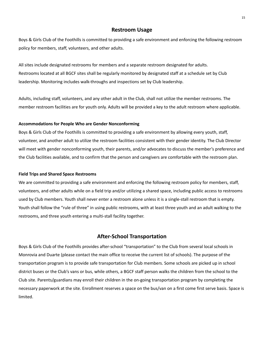#### **Restroom Usage**

Boys & Girls Club of the Foothills is committed to providing a safe environment and enforcing the following restroom policy for members, staff, volunteers, and other adults.

All sites include designated restrooms for members and a separate restroom designated for adults. Restrooms located at all BGCF sites shall be regularly monitored by designated staff at a schedule set by Club leadership. Monitoring includes walk-throughs and inspections set by Club leadership.

Adults, including staff, volunteers, and any other adult in the Club, shall not utilize the member restrooms. The member restroom facilities are for youth only. Adults will be provided a key to the adult restroom where applicable.

#### **Accommodations for People Who are Gender Nonconforming**

Boys & Girls Club of the Foothills is committed to providing a safe environment by allowing every youth, staff, volunteer, and another adult to utilize the restroom facilities consistent with their gender identity. The Club Director will meet with gender nonconforming youth, their parents, and/or advocates to discuss the member's preference and the Club facilities available, and to confirm that the person and caregivers are comfortable with the restroom plan.

#### **Field Trips and Shared Space Restrooms**

We are committed to providing a safe environment and enforcing the following restroom policy for members, staff, volunteers, and other adults while on a field trip and/or utilizing a shared space, including public access to restrooms used by Club members. Youth shall never enter a restroom alone unless it is a single-stall restroom that is empty. Youth shall follow the "rule of three" in using public restrooms, with at least three youth and an adult walking to the restrooms, and three youth entering a multi-stall facility together.

# **After-School Transportation**

Boys & Girls Club of the Foothills provides after-school "transportation" to the Club from several local schools in Monrovia and Duarte (please contact the main office to receive the current list of schools). The purpose of the transportation program is to provide safe transportation for Club members. Some schools are picked up in school district buses or the Club's vans or bus, while others, a BGCF staff person walks the children from the school to the Club site. Parents/guardians may enroll their children in the on-going transportation program by completing the necessary paperwork at the site. Enrollment reserves a space on the bus/van on a first come first serve basis. Space is limited.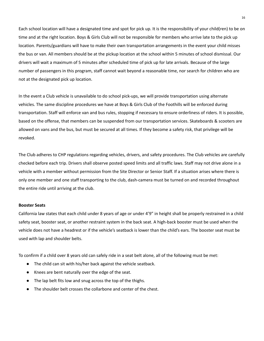Each school location will have a designated time and spot for pick up. It is the responsibility of your child(ren) to be on time and at the right location. Boys & Girls Club will not be responsible for members who arrive late to the pick up location. Parents/guardians will have to make their own transportation arrangements in the event your child misses the bus or van. All members should be at the pickup location at the school within 5 minutes of school dismissal. Our drivers will wait a maximum of 5 minutes after scheduled time of pick up for late arrivals. Because of the large number of passengers in this program, staff cannot wait beyond a reasonable time, nor search for children who are not at the designated pick up location.

In the event a Club vehicle is unavailable to do school pick-ups, we will provide transportation using alternate vehicles. The same discipline procedures we have at Boys & Girls Club of the Foothills will be enforced during transportation. Staff will enforce van and bus rules, stopping if necessary to ensure orderliness of riders. It is possible, based on the offense, that members can be suspended from our transportation services. Skateboards & scooters are allowed on vans and the bus, but must be secured at all times. If they become a safety risk, that privilege will be revoked.

The Club adheres to CHP regulations regarding vehicles, drivers, and safety procedures. The Club vehicles are carefully checked before each trip. Drivers shall observe posted speed limits and all traffic laws. Staff may not drive alone in a vehicle with a member without permission from the Site Director or Senior Staff. If a situation arises where there is only one member and one staff transporting to the club, dash-camera must be turned on and recorded throughout the entire ride until arriving at the club.

#### **Booster Seats**

California law states that each child under 8 years of age or under 4'9" in height shall be properly restrained in a child safety seat, booster seat, or another restraint system in the back seat. A high-back booster must be used when the vehicle does not have a headrest or if the vehicle's seatback is lower than the child's ears. The booster seat must be used with lap and shoulder belts.

To confirm if a child over 8 years old can safely ride in a seat belt alone, all of the following must be met:

- The child can sit with his/her back against the vehicle seatback.
- Knees are bent naturally over the edge of the seat.
- The lap belt fits low and snug across the top of the thighs.
- The shoulder belt crosses the collarbone and center of the chest.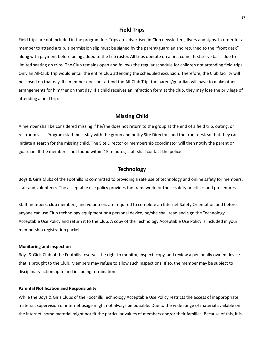#### **Field Trips**

Field trips are not included in the program fee. Trips are advertised in Club newsletters, flyers and signs. In order for a member to attend a trip, a permission slip must be signed by the parent/guardian and returned to the "front desk" along with payment before being added to the trip roster. All trips operate on a first come, first serve basis due to limited seating on trips. The Club remains open and follows the regular schedule for children not attending field trips. Only an All-Club Trip would entail the entire Club attending the scheduled excursion. Therefore, the Club facility will be closed on that day. If a member does not attend the All-Club Trip, the parent/guardian will have to make other arrangements for him/her on that day. If a child receives an infraction form at the club, they may lose the privilege of attending a field trip.

#### **Missing Child**

A member shall be considered missing if he/she does not return to the group at the end of a field trip, outing, or restroom visit. Program staff must stay with the group and notify Site Directors and the front desk so that they can initiate a search for the missing child. The Site Director or membership coordinator will then notify the parent or guardian. If the member is not found within 15 minutes, staff shall contact the police.

# **Technology**

Boys & Girls Clubs of the Foothills is committed to providing a safe use of technology and online safety for members, staff and volunteers. The acceptable use policy provides the framework for those safety practices and procedures.

Staff members, club members, and volunteers are required to complete an Internet Safety Orientation and before anyone can use Club technology equipment or a personal device, he/she shall read and sign the Technology Acceptable Use Policy and return it to the Club. A copy of the Technology Acceptable Use Policy is included in your membership registration packet.

#### **Monitoring and inspection**

Boys & Girls Club of the Foothills reserves the right to monitor, inspect, copy, and review a personally owned device that is brought to the Club. Members may refuse to allow such inspections. If so, the member may be subject to disciplinary action up to and including termination.

#### **Parental Notification and Responsibility**

While the Boys & Girls Clubs of the Foothills Technology Acceptable Use Policy restricts the access of inappropriate material, supervision of internet usage might not always be possible. Due to the wide range of material available on the internet, some material might not fit the particular values of members and/or their families. Because of this, it is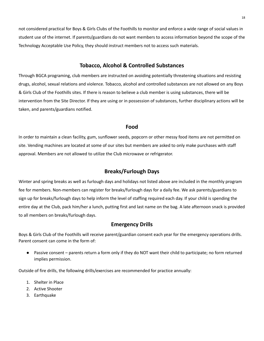not considered practical for Boys & Girls Clubs of the Foothills to monitor and enforce a wide range of social values in student use of the internet. If parents/guardians do not want members to access information beyond the scope of the Technology Acceptable Use Policy, they should instruct members not to access such materials.

#### **Tobacco, Alcohol & Controlled Substances**

Through BGCA programing, club members are instructed on avoiding potentially threatening situations and resisting drugs, alcohol, sexual relations and violence. Tobacco, alcohol and controlled substances are not allowed on any Boys & Girls Club of the Foothills sites. If there is reason to believe a club member is using substances, there will be intervention from the Site Director. If they are using or in possession of substances, further disciplinary actions will be taken, and parents/guardians notified.

#### **Food**

In order to maintain a clean facility, gum, sunflower seeds, popcorn or other messy food items are not permitted on site. Vending machines are located at some of our sites but members are asked to only make purchases with staff approval. Members are not allowed to utilize the Club microwave or refrigerator.

# **Breaks/Furlough Days**

Winter and spring breaks as well as furlough days and holidays not listed above are included in the monthly program fee for members. Non-members can register for breaks/furlough days for a daily fee. We ask parents/guardians to sign up for breaks/furlough days to help inform the level of staffing required each day. If your child is spending the entire day at the Club, pack him/her a lunch, putting first and last name on the bag. A late afternoon snack is provided to all members on breaks/furlough days.

#### **Emergency Drills**

Boys & Girls Club of the Foothills will receive parent/guardian consent each year for the emergency operations drills. Parent consent can come in the form of:

● Passive consent – parents return a form only if they do NOT want their child to participate; no form returned implies permission.

Outside of fire drills, the following drills/exercises are recommended for practice annually:

- 1. Shelter in Place
- 2. Active Shooter
- 3. Earthquake